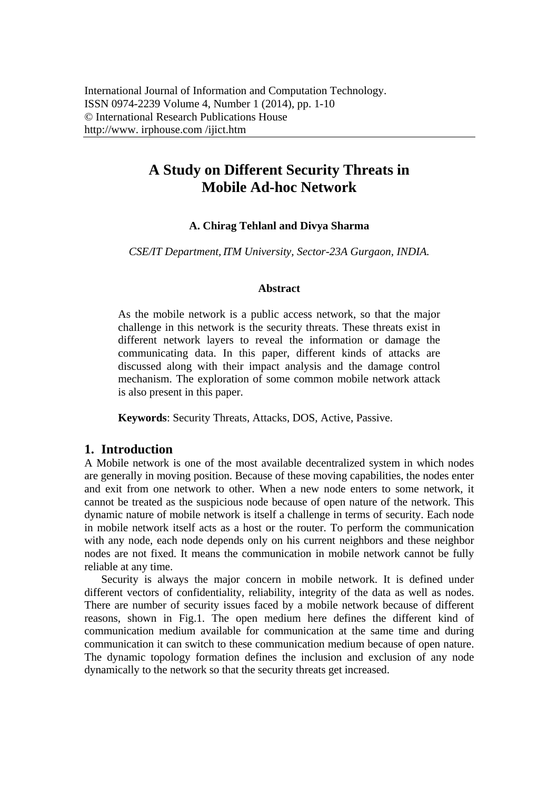# **A Study on Different Security Threats in Mobile Ad-hoc Network**

## **A. Chirag Tehlanl and Divya Sharma**

*CSE/IT Department, ITM University, Sector-23A Gurgaon, INDIA.* 

## **Abstract**

As the mobile network is a public access network, so that the major challenge in this network is the security threats. These threats exist in different network layers to reveal the information or damage the communicating data. In this paper, different kinds of attacks are discussed along with their impact analysis and the damage control mechanism. The exploration of some common mobile network attack is also present in this paper.

**Keywords**: Security Threats, Attacks, DOS, Active, Passive.

## **1. Introduction**

A Mobile network is one of the most available decentralized system in which nodes are generally in moving position. Because of these moving capabilities, the nodes enter and exit from one network to other. When a new node enters to some network, it cannot be treated as the suspicious node because of open nature of the network. This dynamic nature of mobile network is itself a challenge in terms of security. Each node in mobile network itself acts as a host or the router. To perform the communication with any node, each node depends only on his current neighbors and these neighbor nodes are not fixed. It means the communication in mobile network cannot be fully reliable at any time.

Security is always the major concern in mobile network. It is defined under different vectors of confidentiality, reliability, integrity of the data as well as nodes. There are number of security issues faced by a mobile network because of different reasons, shown in Fig.1. The open medium here defines the different kind of communication medium available for communication at the same time and during communication it can switch to these communication medium because of open nature. The dynamic topology formation defines the inclusion and exclusion of any node dynamically to the network so that the security threats get increased.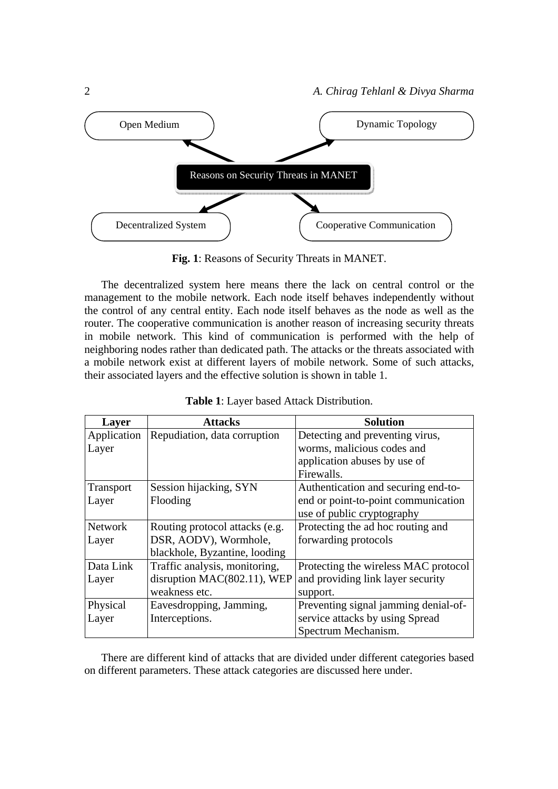

**Fig. 1**: Reasons of Security Threats in MANET.

The decentralized system here means there the lack on central control or the management to the mobile network. Each node itself behaves independently without the control of any central entity. Each node itself behaves as the node as well as the router. The cooperative communication is another reason of increasing security threats in mobile network. This kind of communication is performed with the help of neighboring nodes rather than dedicated path. The attacks or the threats associated with a mobile network exist at different layers of mobile network. Some of such attacks, their associated layers and the effective solution is shown in table 1.

| Layer          | <b>Attacks</b>                 | <b>Solution</b>                      |
|----------------|--------------------------------|--------------------------------------|
| Application    | Repudiation, data corruption   | Detecting and preventing virus,      |
| Layer          |                                | worms, malicious codes and           |
|                |                                | application abuses by use of         |
|                |                                | Firewalls.                           |
| Transport      | Session hijacking, SYN         | Authentication and securing end-to-  |
| Layer          | Flooding                       | end or point-to-point communication  |
|                |                                | use of public cryptography           |
| <b>Network</b> | Routing protocol attacks (e.g. | Protecting the ad hoc routing and    |
| Layer          | DSR, AODV), Wormhole,          | forwarding protocols                 |
|                | blackhole, Byzantine, looding  |                                      |
| Data Link      | Traffic analysis, monitoring,  | Protecting the wireless MAC protocol |
| Layer          | disruption MAC(802.11), WEP    | and providing link layer security    |
|                | weakness etc.                  | support.                             |
| Physical       | Eavesdropping, Jamming,        | Preventing signal jamming denial-of- |
| Layer          | Interceptions.                 | service attacks by using Spread      |
|                |                                | Spectrum Mechanism.                  |

| Table 1: Layer based Attack Distribution. |  |
|-------------------------------------------|--|
|-------------------------------------------|--|

There are different kind of attacks that are divided under different categories based on different parameters. These attack categories are discussed here under.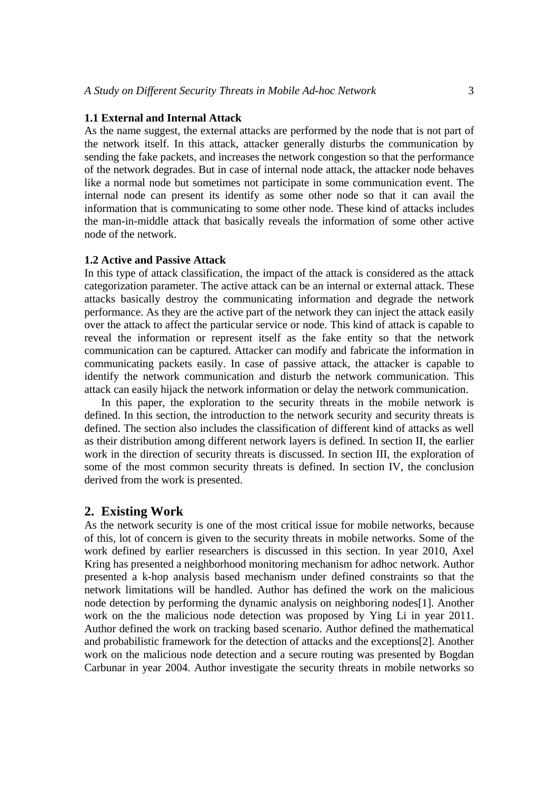### **1.1 External and Internal Attack**

As the name suggest, the external attacks are performed by the node that is not part of the network itself. In this attack, attacker generally disturbs the communication by sending the fake packets, and increases the network congestion so that the performance of the network degrades. But in case of internal node attack, the attacker node behaves like a normal node but sometimes not participate in some communication event. The internal node can present its identify as some other node so that it can avail the information that is communicating to some other node. These kind of attacks includes the man-in-middle attack that basically reveals the information of some other active node of the network.

#### **1.2 Active and Passive Attack**

In this type of attack classification, the impact of the attack is considered as the attack categorization parameter. The active attack can be an internal or external attack. These attacks basically destroy the communicating information and degrade the network performance. As they are the active part of the network they can inject the attack easily over the attack to affect the particular service or node. This kind of attack is capable to reveal the information or represent itself as the fake entity so that the network communication can be captured. Attacker can modify and fabricate the information in communicating packets easily. In case of passive attack, the attacker is capable to identify the network communication and disturb the network communication. This attack can easily hijack the network information or delay the network communication.

In this paper, the exploration to the security threats in the mobile network is defined. In this section, the introduction to the network security and security threats is defined. The section also includes the classification of different kind of attacks as well as their distribution among different network layers is defined. In section II, the earlier work in the direction of security threats is discussed. In section III, the exploration of some of the most common security threats is defined. In section IV, the conclusion derived from the work is presented.

#### **2. Existing Work**

As the network security is one of the most critical issue for mobile networks, because of this, lot of concern is given to the security threats in mobile networks. Some of the work defined by earlier researchers is discussed in this section. In year 2010, Axel Kring has presented a neighborhood monitoring mechanism for adhoc network. Author presented a k-hop analysis based mechanism under defined constraints so that the network limitations will be handled. Author has defined the work on the malicious node detection by performing the dynamic analysis on neighboring nodes[1]. Another work on the the malicious node detection was proposed by Ying Li in year 2011. Author defined the work on tracking based scenario. Author defined the mathematical and probabilistic framework for the detection of attacks and the exceptions[2]. Another work on the malicious node detection and a secure routing was presented by Bogdan Carbunar in year 2004. Author investigate the security threats in mobile networks so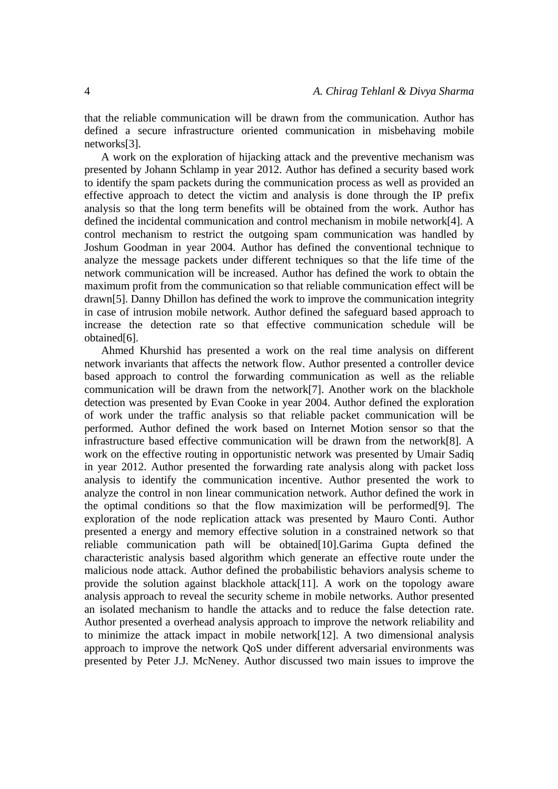that the reliable communication will be drawn from the communication. Author has defined a secure infrastructure oriented communication in misbehaving mobile networks[3].

A work on the exploration of hijacking attack and the preventive mechanism was presented by Johann Schlamp in year 2012. Author has defined a security based work to identify the spam packets during the communication process as well as provided an effective approach to detect the victim and analysis is done through the IP prefix analysis so that the long term benefits will be obtained from the work. Author has defined the incidental communication and control mechanism in mobile network[4]. A control mechanism to restrict the outgoing spam communication was handled by Joshum Goodman in year 2004. Author has defined the conventional technique to analyze the message packets under different techniques so that the life time of the network communication will be increased. Author has defined the work to obtain the maximum profit from the communication so that reliable communication effect will be drawn[5]. Danny Dhillon has defined the work to improve the communication integrity in case of intrusion mobile network. Author defined the safeguard based approach to increase the detection rate so that effective communication schedule will be obtained[6].

Ahmed Khurshid has presented a work on the real time analysis on different network invariants that affects the network flow. Author presented a controller device based approach to control the forwarding communication as well as the reliable communication will be drawn from the network[7]. Another work on the blackhole detection was presented by Evan Cooke in year 2004. Author defined the exploration of work under the traffic analysis so that reliable packet communication will be performed. Author defined the work based on Internet Motion sensor so that the infrastructure based effective communication will be drawn from the network[8]. A work on the effective routing in opportunistic network was presented by Umair Sadiq in year 2012. Author presented the forwarding rate analysis along with packet loss analysis to identify the communication incentive. Author presented the work to analyze the control in non linear communication network. Author defined the work in the optimal conditions so that the flow maximization will be performed[9]. The exploration of the node replication attack was presented by Mauro Conti. Author presented a energy and memory effective solution in a constrained network so that reliable communication path will be obtained[10].Garima Gupta defined the characteristic analysis based algorithm which generate an effective route under the malicious node attack. Author defined the probabilistic behaviors analysis scheme to provide the solution against blackhole attack[11]. A work on the topology aware analysis approach to reveal the security scheme in mobile networks. Author presented an isolated mechanism to handle the attacks and to reduce the false detection rate. Author presented a overhead analysis approach to improve the network reliability and to minimize the attack impact in mobile network[12]. A two dimensional analysis approach to improve the network QoS under different adversarial environments was presented by Peter J.J. McNeney. Author discussed two main issues to improve the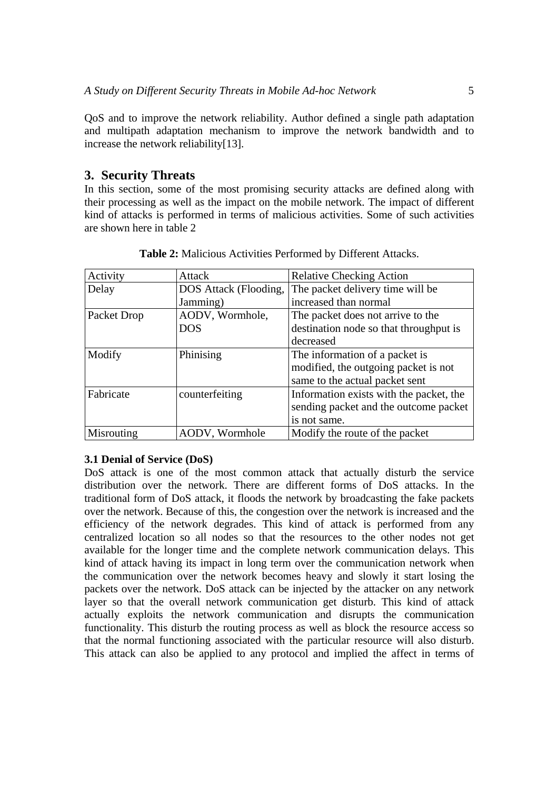QoS and to improve the network reliability. Author defined a single path adaptation and multipath adaptation mechanism to improve the network bandwidth and to increase the network reliability[13].

## **3. Security Threats**

In this section, some of the most promising security attacks are defined along with their processing as well as the impact on the mobile network. The impact of different kind of attacks is performed in terms of malicious activities. Some of such activities are shown here in table 2

| Activity    | Attack                | <b>Relative Checking Action</b>         |  |
|-------------|-----------------------|-----------------------------------------|--|
| Delay       | DOS Attack (Flooding, | The packet delivery time will be        |  |
|             | Jamming)              | increased than normal                   |  |
| Packet Drop | AODV, Wormhole,       | The packet does not arrive to the       |  |
|             | DOS                   | destination node so that throughput is  |  |
|             |                       | decreased                               |  |
| Modify      | Phinising             | The information of a packet is          |  |
|             |                       | modified, the outgoing packet is not    |  |
|             |                       | same to the actual packet sent          |  |
| Fabricate   | counterfeiting        | Information exists with the packet, the |  |
|             |                       | sending packet and the outcome packet   |  |
|             |                       | is not same.                            |  |
| Misrouting  | AODV, Wormhole        | Modify the route of the packet          |  |

**Table 2:** Malicious Activities Performed by Different Attacks.

## **3.1 Denial of Service (DoS)**

DoS attack is one of the most common attack that actually disturb the service distribution over the network. There are different forms of DoS attacks. In the traditional form of DoS attack, it floods the network by broadcasting the fake packets over the network. Because of this, the congestion over the network is increased and the efficiency of the network degrades. This kind of attack is performed from any centralized location so all nodes so that the resources to the other nodes not get available for the longer time and the complete network communication delays. This kind of attack having its impact in long term over the communication network when the communication over the network becomes heavy and slowly it start losing the packets over the network. DoS attack can be injected by the attacker on any network layer so that the overall network communication get disturb. This kind of attack actually exploits the network communication and disrupts the communication functionality. This disturb the routing process as well as block the resource access so that the normal functioning associated with the particular resource will also disturb. This attack can also be applied to any protocol and implied the affect in terms of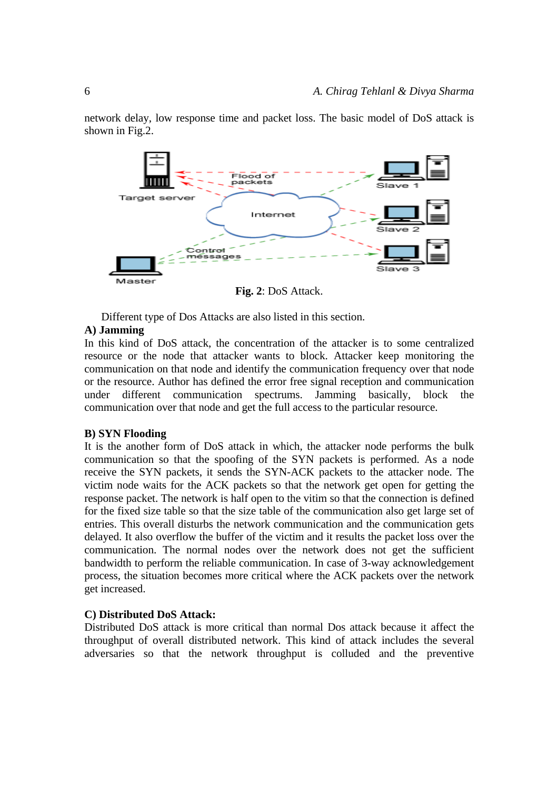network delay, low response time and packet loss. The basic model of DoS attack is shown in Fig.2.



**Fig. 2**: DoS Attack.

Different type of Dos Attacks are also listed in this section.

## **A) Jamming**

In this kind of DoS attack, the concentration of the attacker is to some centralized resource or the node that attacker wants to block. Attacker keep monitoring the communication on that node and identify the communication frequency over that node or the resource. Author has defined the error free signal reception and communication under different communication spectrums. Jamming basically, block the communication over that node and get the full access to the particular resource.

#### **B) SYN Flooding**

It is the another form of DoS attack in which, the attacker node performs the bulk communication so that the spoofing of the SYN packets is performed. As a node receive the SYN packets, it sends the SYN-ACK packets to the attacker node. The victim node waits for the ACK packets so that the network get open for getting the response packet. The network is half open to the vitim so that the connection is defined for the fixed size table so that the size table of the communication also get large set of entries. This overall disturbs the network communication and the communication gets delayed. It also overflow the buffer of the victim and it results the packet loss over the communication. The normal nodes over the network does not get the sufficient bandwidth to perform the reliable communication. In case of 3-way acknowledgement process, the situation becomes more critical where the ACK packets over the network get increased.

#### **C) Distributed DoS Attack:**

Distributed DoS attack is more critical than normal Dos attack because it affect the throughput of overall distributed network. This kind of attack includes the several adversaries so that the network throughput is colluded and the preventive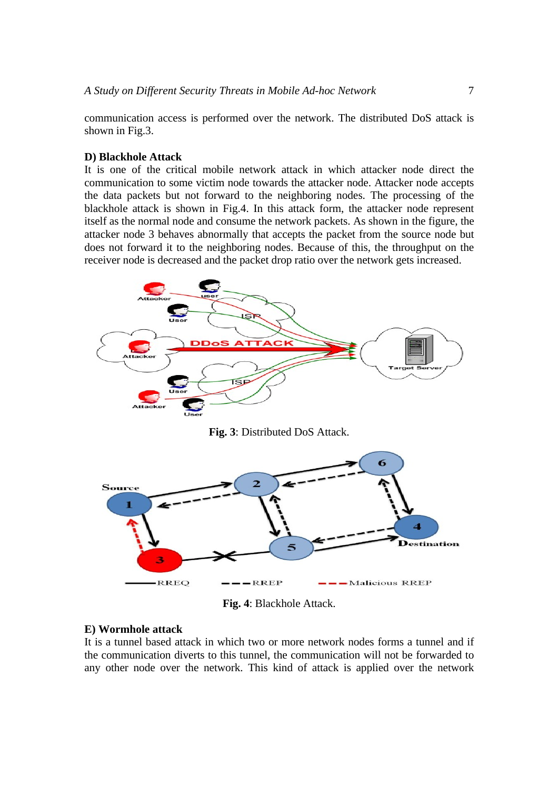communication access is performed over the network. The distributed DoS attack is shown in Fig.3.

#### **D) Blackhole Attack**

It is one of the critical mobile network attack in which attacker node direct the communication to some victim node towards the attacker node. Attacker node accepts the data packets but not forward to the neighboring nodes. The processing of the blackhole attack is shown in Fig.4. In this attack form, the attacker node represent itself as the normal node and consume the network packets. As shown in the figure, the attacker node 3 behaves abnormally that accepts the packet from the source node but does not forward it to the neighboring nodes. Because of this, the throughput on the receiver node is decreased and the packet drop ratio over the network gets increased.



**Fig. 3**: Distributed DoS Attack.



**Fig. 4**: Blackhole Attack.

#### **E) Wormhole attack**

It is a tunnel based attack in which two or more network nodes forms a tunnel and if the communication diverts to this tunnel, the communication will not be forwarded to any other node over the network. This kind of attack is applied over the network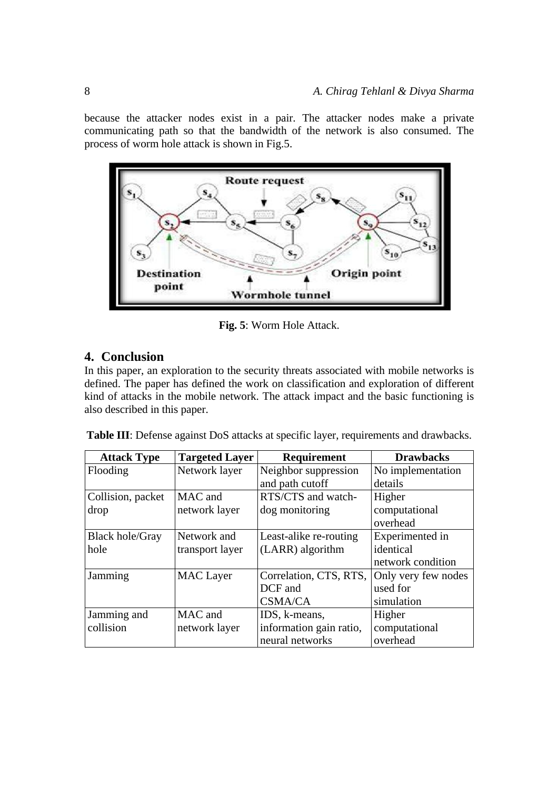because the attacker nodes exist in a pair. The attacker nodes make a private communicating path so that the bandwidth of the network is also consumed. The process of worm hole attack is shown in Fig.5.



**Fig. 5**: Worm Hole Attack.

# **4. Conclusion**

In this paper, an exploration to the security threats associated with mobile networks is defined. The paper has defined the work on classification and exploration of different kind of attacks in the mobile network. The attack impact and the basic functioning is also described in this paper.

**Table III**: Defense against DoS attacks at specific layer, requirements and drawbacks.

| <b>Attack Type</b>     | <b>Targeted Layer</b> | <b>Requirement</b>      | <b>Drawbacks</b>    |
|------------------------|-----------------------|-------------------------|---------------------|
| Flooding               | Network layer         | Neighbor suppression    | No implementation   |
|                        |                       | and path cutoff         | details             |
| Collision, packet      | MAC and               | RTS/CTS and watch-      | Higher              |
| drop                   | network layer         | dog monitoring          | computational       |
|                        |                       |                         | overhead            |
| <b>Black hole/Gray</b> | Network and           | Least-alike re-routing  | Experimented in     |
| hole                   | transport layer       | (LARR) algorithm        | identical           |
|                        |                       |                         | network condition   |
| Jamming                | <b>MAC</b> Layer      | Correlation, CTS, RTS,  | Only very few nodes |
|                        |                       | DCF and                 | used for            |
|                        |                       | <b>CSMA/CA</b>          | simulation          |
| Jamming and            | MAC and               | IDS, k-means,           | Higher              |
| collision              | network layer         | information gain ratio, | computational       |
|                        |                       | neural networks         | overhead            |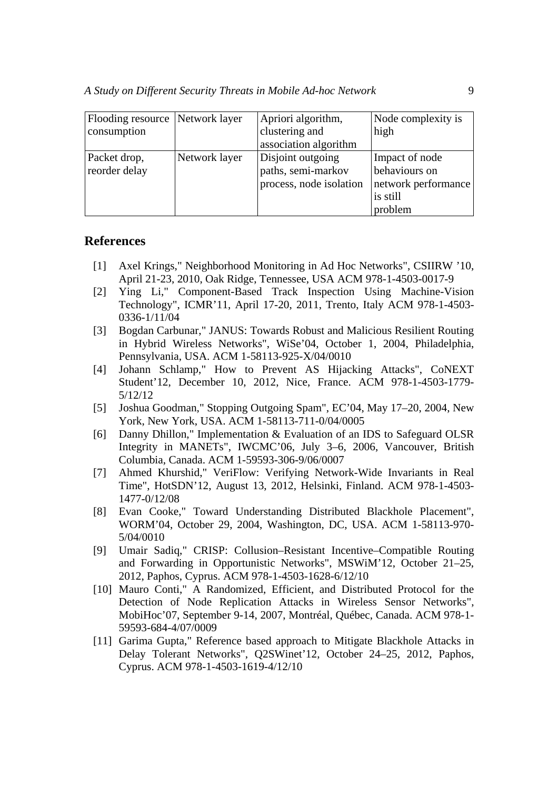| Flooding resource Network layer |               | Apriori algorithm,      | Node complexity is  |
|---------------------------------|---------------|-------------------------|---------------------|
| consumption                     |               | clustering and          | high                |
|                                 |               | association algorithm   |                     |
| Packet drop,                    | Network layer | Disjoint outgoing       | Impact of node      |
| reorder delay                   |               | paths, semi-markov      | behaviours on       |
|                                 |               | process, node isolation | network performance |
|                                 |               |                         | is still            |
|                                 |               |                         | problem             |

## **References**

- [1] Axel Krings," Neighborhood Monitoring in Ad Hoc Networks", CSIIRW '10, April 21-23, 2010, Oak Ridge, Tennessee, USA ACM 978-1-4503-0017-9
- [2] Ying Li," Component-Based Track Inspection Using Machine-Vision Technology", ICMR'11, April 17-20, 2011, Trento, Italy ACM 978-1-4503- 0336-1/11/04
- [3] Bogdan Carbunar," JANUS: Towards Robust and Malicious Resilient Routing in Hybrid Wireless Networks", WiSe'04, October 1, 2004, Philadelphia, Pennsylvania, USA. ACM 1-58113-925-X/04/0010
- [4] Johann Schlamp," How to Prevent AS Hijacking Attacks", CoNEXT Student'12, December 10, 2012, Nice, France. ACM 978-1-4503-1779- 5/12/12
- [5] Joshua Goodman," Stopping Outgoing Spam", EC'04, May 17–20, 2004, New York, New York, USA. ACM 1-58113-711-0/04/0005
- [6] Danny Dhillon," Implementation & Evaluation of an IDS to Safeguard OLSR Integrity in MANETs", IWCMC'06, July 3–6, 2006, Vancouver, British Columbia, Canada. ACM 1-59593-306-9/06/0007
- [7] Ahmed Khurshid," VeriFlow: Verifying Network-Wide Invariants in Real Time", HotSDN'12, August 13, 2012, Helsinki, Finland. ACM 978-1-4503- 1477-0/12/08
- [8] Evan Cooke," Toward Understanding Distributed Blackhole Placement", WORM'04, October 29, 2004, Washington, DC, USA. ACM 1-58113-970- 5/04/0010
- [9] Umair Sadiq," CRISP: Collusion–Resistant Incentive–Compatible Routing and Forwarding in Opportunistic Networks", MSWiM'12, October 21–25, 2012, Paphos, Cyprus. ACM 978-1-4503-1628-6/12/10
- [10] Mauro Conti," A Randomized, Efficient, and Distributed Protocol for the Detection of Node Replication Attacks in Wireless Sensor Networks", MobiHoc'07, September 9-14, 2007, Montréal, Québec, Canada. ACM 978-1- 59593-684-4/07/0009
- [11] Garima Gupta," Reference based approach to Mitigate Blackhole Attacks in Delay Tolerant Networks", Q2SWinet'12, October 24–25, 2012, Paphos, Cyprus. ACM 978-1-4503-1619-4/12/10